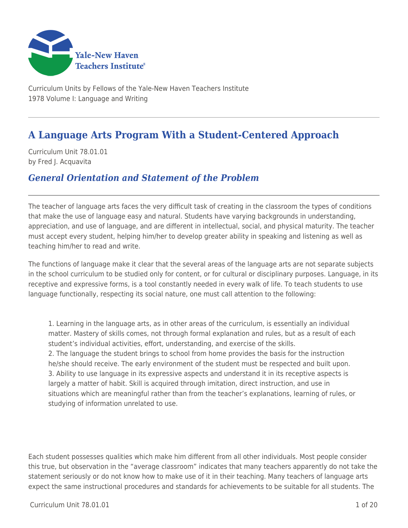

Curriculum Units by Fellows of the Yale-New Haven Teachers Institute 1978 Volume I: Language and Writing

# **A Language Arts Program With a Student-Centered Approach**

Curriculum Unit 78.01.01 by Fred J. Acquavita

### *General Orientation and Statement of the Problem*

The teacher of language arts faces the very difficult task of creating in the classroom the types of conditions that make the use of language easy and natural. Students have varying backgrounds in understanding, appreciation, and use of language, and are different in intellectual, social, and physical maturity. The teacher must accept every student, helping him/her to develop greater ability in speaking and listening as well as teaching him/her to read and write.

The functions of language make it clear that the several areas of the language arts are not separate subjects in the school curriculum to be studied only for content, or for cultural or disciplinary purposes. Language, in its receptive and expressive forms, is a tool constantly needed in every walk of life. To teach students to use language functionally, respecting its social nature, one must call attention to the following:

1. Learning in the language arts, as in other areas of the curriculum, is essentially an individual matter. Mastery of skills comes, not through formal explanation and rules, but as a result of each student's individual activities, effort, understanding, and exercise of the skills. 2. The language the student brings to school from home provides the basis for the instruction he/she should receive. The early environment of the student must be respected and built upon. 3. Ability to use language in its expressive aspects and understand it in its receptive aspects is largely a matter of habit. Skill is acquired through imitation, direct instruction, and use in situations which are meaningful rather than from the teacher's explanations, learning of rules, or studying of information unrelated to use.

Each student possesses qualities which make him different from all other individuals. Most people consider this true, but observation in the "average classroom" indicates that many teachers apparently do not take the statement seriously or do not know how to make use of it in their teaching. Many teachers of language arts expect the same instructional procedures and standards for achievements to be suitable for all students. The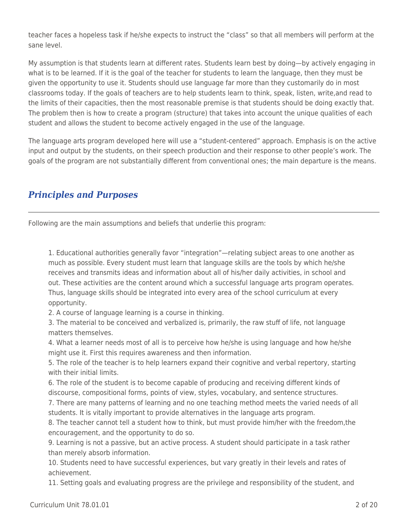teacher faces a hopeless task if he/she expects to instruct the "class" so that all members will perform at the sane level.

My assumption is that students learn at different rates. Students learn best by doing—by actively engaging in what is to be learned. If it is the goal of the teacher for students to learn the language, then they must be given the opportunity to use it. Students should use language far more than they customarily do in most classrooms today. If the goals of teachers are to help students learn to think, speak, listen, write,and read to the limits of their capacities, then the most reasonable premise is that students should be doing exactly that. The problem then is how to create a program (structure) that takes into account the unique qualities of each student and allows the student to become actively engaged in the use of the language.

The language arts program developed here will use a "student-centered" approach. Emphasis is on the active input and output by the students, on their speech production and their response to other people's work. The goals of the program are not substantially different from conventional ones; the main departure is the means.

## *Principles and Purposes*

Following are the main assumptions and beliefs that underlie this program:

1. Educational authorities generally favor "integration"—relating subject areas to one another as much as possible. Every student must learn that language skills are the tools by which he/she receives and transmits ideas and information about all of his/her daily activities, in school and out. These activities are the content around which a successful language arts program operates. Thus, language skills should be integrated into every area of the school curriculum at every opportunity.

2. A course of language learning is a course in thinking.

3. The material to be conceived and verbalized is, primarily, the raw stuff of life, not language matters themselves.

4. What a learner needs most of all is to perceive how he/she is using language and how he/she might use it. First this requires awareness and then information.

5. The role of the teacher is to help learners expand their cognitive and verbal repertory, starting with their initial limits.

6. The role of the student is to become capable of producing and receiving different kinds of discourse, compositional forms, points of view, styles, vocabulary, and sentence structures.

7. There are many patterns of learning and no one teaching method meets the varied needs of all students. It is vitally important to provide alternatives in the language arts program.

8. The teacher cannot tell a student how to think, but must provide him/her with the freedom,the encouragement, and the opportunity to do so.

9. Learning is not a passive, but an active process. A student should participate in a task rather than merely absorb information.

10. Students need to have successful experiences, but vary greatly in their levels and rates of achievement.

11. Setting goals and evaluating progress are the privilege and responsibility of the student, and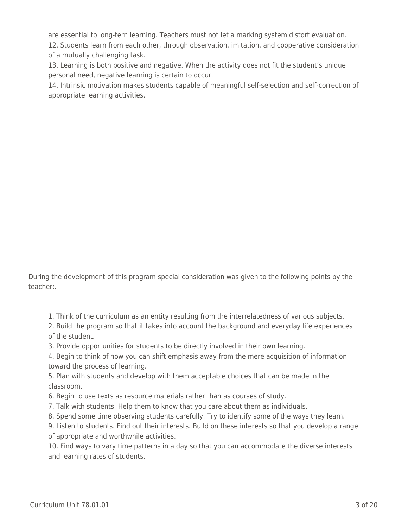are essential to long-tern learning. Teachers must not let a marking system distort evaluation.

12. Students learn from each other, through observation, imitation, and cooperative consideration of a mutually challenging task.

13. Learning is both positive and negative. When the activity does not fit the student's unique personal need, negative learning is certain to occur.

14. Intrinsic motivation makes students capable of meaningful self-selection and self-correction of appropriate learning activities.

During the development of this program special consideration was given to the following points by the teacher:.

1. Think of the curriculum as an entity resulting from the interrelatedness of various subjects.

2. Build the program so that it takes into account the background and everyday life experiences of the student.

3. Provide opportunities for students to be directly involved in their own learning.

4. Begin to think of how you can shift emphasis away from the mere acquisition of information toward the process of learning.

5. Plan with students and develop with them acceptable choices that can be made in the classroom.

6. Begin to use texts as resource materials rather than as courses of study.

7. Talk with students. Help them to know that you care about them as individuals.

8. Spend some time observing students carefully. Try to identify some of the ways they learn.

9. Listen to students. Find out their interests. Build on these interests so that you develop a range of appropriate and worthwhile activities.

10. Find ways to vary time patterns in a day so that you can accommodate the diverse interests and learning rates of students.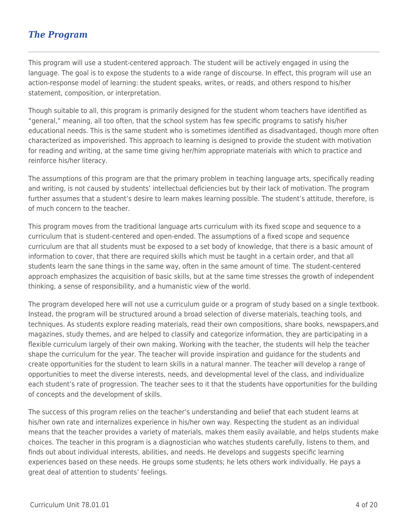## *The Program*

This program will use a student-centered approach. The student will be actively engaged in using the language. The goal is to expose the students to a wide range of discourse. In effect, this program will use an action-response model of learning: the student speaks, writes, or reads, and others respond to his/her statement, composition, or interpretation.

Though suitable to all, this program is primarily designed for the student whom teachers have identified as "general," meaning, all too often, that the school system has few specific programs to satisfy his/her educational needs. This is the same student who is sometimes identified as disadvantaged, though more often characterized as impoverished. This approach to learning is designed to provide the student with motivation for reading and writing, at the same time giving her/him appropriate materials with which to practice and reinforce his/her literacy.

The assumptions of this program are that the primary problem in teaching language arts, specifically reading and writing, is not caused by students' intellectual deficiencies but by their lack of motivation. The program further assumes that a student's desire to learn makes learning possible. The student's attitude, therefore, is of much concern to the teacher.

This program moves from the traditional language arts curriculum with its fixed scope and sequence to a curriculum that is student-centered and open-ended. The assumptions of a fixed scope and sequence curriculum are that all students must be exposed to a set body of knowledge, that there is a basic amount of information to cover, that there are required skills which must be taught in a certain order, and that all students learn the sane things in the same way, often in the same amount of time. The student-centered approach emphasizes the acquisition of basic skills, but at the same time stresses the growth of independent thinking, a sense of responsibility, and a humanistic view of the world.

The program developed here will not use a curriculum guide or a program of study based on a single textbook. Instead, the program will be structured around a broad selection of diverse materials, teaching tools, and techniques. As students explore reading materials, read their own compositions, share books, newspapers,and magazines, study themes, and are helped to classify and categorize information, they are participating in a flexible curriculum largely of their own making. Working with the teacher, the students will help the teacher shape the curriculum for the year. The teacher will provide inspiration and guidance for the students and create opportunities for the student to learn skills in a natural manner. The teacher will develop a range of opportunities to meet the diverse interests, needs, and developmental level of the class, and individualize each student's rate of progression. The teacher sees to it that the students have opportunities for the building of concepts and the development of skills.

The success of this program relies on the teacher's understanding and belief that each student learns at his/her own rate and internalizes experience in his/her own way. Respecting the student as an individual means that the teacher provides a variety of materials, makes them easily available, and helps students make choices. The teacher in this program is a diagnostician who watches students carefully, listens to them, and finds out about individual interests, abilities, and needs. He develops and suggests specific learning experiences based on these needs. He groups some students; he lets others work individually. He pays a great deal of attention to students' feelings.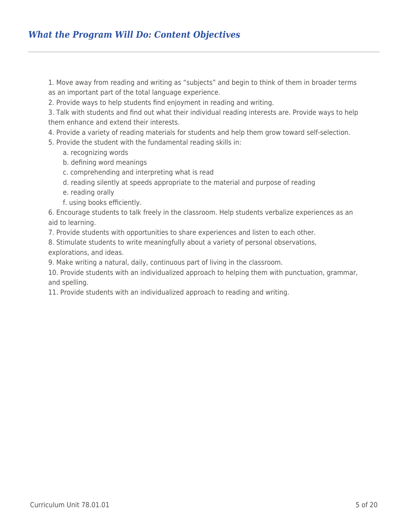1. Move away from reading and writing as "subjects" and begin to think of them in broader terms as an important part of the total language experience.

2. Provide ways to help students find enjoyment in reading and writing.

3. Talk with students and find out what their individual reading interests are. Provide ways to help them enhance and extend their interests.

4. Provide a variety of reading materials for students and help them grow toward self-selection.

5. Provide the student with the fundamental reading skills in:

- a. recognizing words
- b. defining word meanings
- \_\_\_\_ c. comprehending and interpreting what is read
- \_\_\_\_ d. reading silently at speeds appropriate to the material and purpose of reading
- e. reading orally
- f. using books efficiently.

6. Encourage students to talk freely in the classroom. Help students verbalize experiences as an aid to learning.

7. Provide students with opportunities to share experiences and listen to each other.

8. Stimulate students to write meaningfully about a variety of personal observations, explorations, and ideas.

9. Make writing a natural, daily, continuous part of living in the classroom.

10. Provide students with an individualized approach to helping them with punctuation, grammar, and spelling.

11. Provide students with an individualized approach to reading and writing.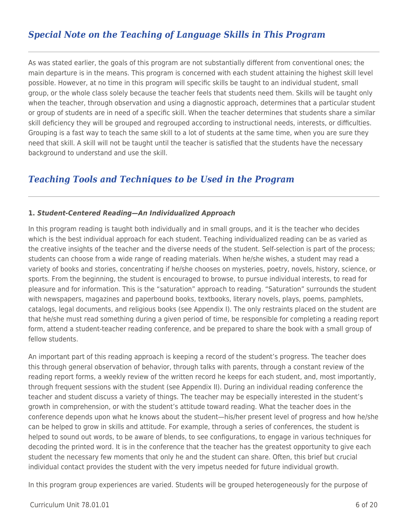## *Special Note on the Teaching of Language Skills in This Program*

As was stated earlier, the goals of this program are not substantially different from conventional ones; the main departure is in the means. This program is concerned with each student attaining the highest skill level possible. However, at no time in this program will specific skills be taught to an individual student, small group, or the whole class solely because the teacher feels that students need them. Skills will be taught only when the teacher, through observation and using a diagnostic approach, determines that a particular student or group of students are in need of a specific skill. When the teacher determines that students share a similar skill deficiency they will be grouped and regrouped according to instructional needs, interests, or difficulties. Grouping is a fast way to teach the same skill to a lot of students at the same time, when you are sure they need that skill. A skill will not be taught until the teacher is satisfied that the students have the necessary background to understand and use the skill.

### *Teaching Tools and Techniques to be Used in the Program*

### **1.** *Student-Centered Reading—An Individualized Approach*

In this program reading is taught both individually and in small groups, and it is the teacher who decides which is the best individual approach for each student. Teaching individualized reading can be as varied as the creative insights of the teacher and the diverse needs of the student. Self-selection is part of the process; students can choose from a wide range of reading materials. When he/she wishes, a student may read a variety of books and stories, concentrating if he/she chooses on mysteries, poetry, novels, history, science, or sports. From the beginning, the student is encouraged to browse, to pursue individual interests, to read for pleasure and for information. This is the "saturation" approach to reading. "Saturation" surrounds the student with newspapers, magazines and paperbound books, textbooks, literary novels, plays, poems, pamphlets, catalogs, legal documents, and religious books (see Appendix I). The only restraints placed on the student are that he/she must read something during a given period of time, be responsible for completing a reading report form, attend a student-teacher reading conference, and be prepared to share the book with a small group of fellow students.

An important part of this reading approach is keeping a record of the student's progress. The teacher does this through general observation of behavior, through talks with parents, through a constant review of the reading report forms, a weekly review of the written record he keeps for each student, and, most importantly, through frequent sessions with the student (see Appendix II). During an individual reading conference the teacher and student discuss a variety of things. The teacher may be especially interested in the student's growth in comprehension, or with the student's attitude toward reading. What the teacher does in the conference depends upon what he knows about the student—his/her present level of progress and how he/she can be helped to grow in skills and attitude. For example, through a series of conferences, the student is helped to sound out words, to be aware of blends, to see configurations, to engage in various techniques for decoding the printed word. It is in the conference that the teacher has the greatest opportunity to give each student the necessary few moments that only he and the student can share. Often, this brief but crucial individual contact provides the student with the very impetus needed for future individual growth.

In this program group experiences are varied. Students will be grouped heterogeneously for the purpose of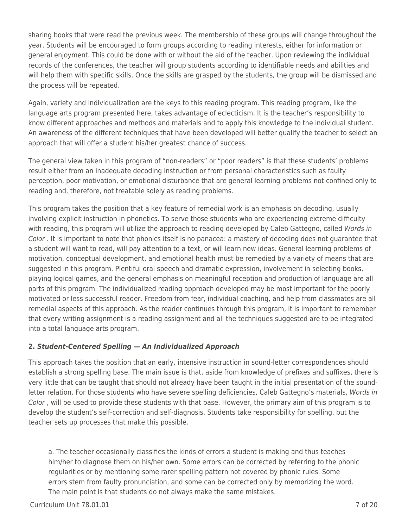sharing books that were read the previous week. The membership of these groups will change throughout the year. Students will be encouraged to form groups according to reading interests, either for information or general enjoyment. This could be done with or without the aid of the teacher. Upon reviewing the individual records of the conferences, the teacher will group students according to identifiable needs and abilities and will help them with specific skills. Once the skills are grasped by the students, the group will be dismissed and the process will be repeated.

Again, variety and individualization are the keys to this reading program. This reading program, like the language arts program presented here, takes advantage of eclecticism. It is the teacher's responsibility to know different approaches and methods and materials and to apply this knowledge to the individual student. An awareness of the different techniques that have been developed will better qualify the teacher to select an approach that will offer a student his/her greatest chance of success.

The general view taken in this program of "non-readers" or "poor readers" is that these students' problems result either from an inadequate decoding instruction or from personal characteristics such as faulty perception, poor motivation, or emotional disturbance that are general learning problems not confined only to reading and, therefore, not treatable solely as reading problems.

This program takes the position that a key feature of remedial work is an emphasis on decoding, usually involving explicit instruction in phonetics. To serve those students who are experiencing extreme difficulty with reading, this program will utilize the approach to reading developed by Caleb Gattegno, called Words in Color . It is important to note that phonics itself is no panacea: a mastery of decoding does not quarantee that a student will want to read, will pay attention to a text, or will learn new ideas. General learning problems of motivation, conceptual development, and emotional health must be remedied by a variety of means that are suggested in this program. Plentiful oral speech and dramatic expression, involvement in selecting books, playing logical games, and the general emphasis on meaningful reception and production of language are all parts of this program. The individualized reading approach developed may be most important for the poorly motivated or less successful reader. Freedom from fear, individual coaching, and help from classmates are all remedial aspects of this approach. As the reader continues through this program, it is important to remember that every writing assignment is a reading assignment and all the techniques suggested are to be integrated into a total language arts program.

### **2.** *Student-Centered Spelling* **—** *An Individualized Approach*

This approach takes the position that an early, intensive instruction in sound-letter correspondences should establish a strong spelling base. The main issue is that, aside from knowledge of prefixes and suffixes, there is very little that can be taught that should not already have been taught in the initial presentation of the soundletter relation. For those students who have severe spelling deficiencies, Caleb Gattegno's materials, Words in Color , will be used to provide these students with that base. However, the primary aim of this program is to develop the student's self-correction and self-diagnosis. Students take responsibility for spelling, but the teacher sets up processes that make this possible.

a. The teacher occasionally classifies the kinds of errors a student is making and thus teaches him/her to diagnose them on his/her own. Some errors can be corrected by referring to the phonic regularities or by mentioning some rarer spelling pattern not covered by phonic rules. Some errors stem from faulty pronunciation, and some can be corrected only by memorizing the word. The main point is that students do not always make the same mistakes.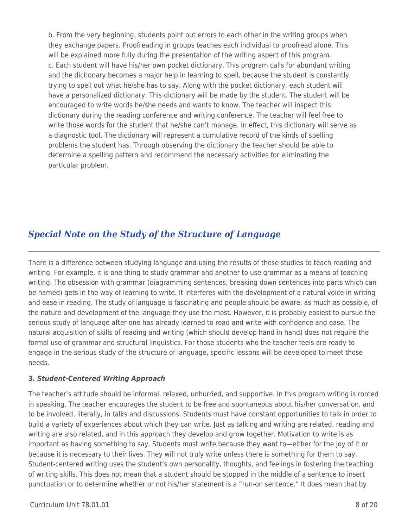b. From the very beginning, students point out errors to each other in the writing groups when they exchange papers. Proofreading in groups teaches each individual to proofread alone. This will be explained more fully during the presentation of the writing aspect of this program. c. Each student will have his/her own pocket dictionary. This program calls for abundant writing and the dictionary becomes a major help in learning to spell, because the student is constantly trying to spell out what he/she has to say. Along with the pocket dictionary, each student will have a personalized dictionary. This dictionary will be made by the student. The student will be encouraged to write words he/she needs and wants to know. The teacher will inspect this dictionary during the reading conference and writing conference. The teacher will feel free to write those words for the student that he/she can't manage. In effect, this dictionary will serve as a diagnostic tool. The dictionary will represent a cumulative record of the kinds of spelling problems the student has. Through observing the dictionary the teacher should be able to determine a spelling pattern and recommend the necessary activities for eliminating the particular problem.

## *Special Note on the Study of the Structure of Language*

There is a difference between studying language and using the results of these studies to teach reading and writing. For example, it is one thing to study grammar and another to use grammar as a means of teaching writing. The obsession with grammar (diagramming sentences, breaking down sentences into parts which can be named) gets in the way of learning to write. It interferes with the development of a natural voice in writing and ease in reading. The study of language is fascinating and people should be aware, as much as possible, of the nature and development of the language they use the most. However, it is probably easiest to pursue the serious study of language after one has already learned to read and write with confidence and ease. The natural acquisition of skills of reading and writing (which should develop hand in hand) does not require the formal use of grammar and structural linguistics. For those students who the teacher feels are ready to engage in the serious study of the structure of language, specific lessons will be developed to meet those needs.

### **3.** *Student-Centered Writing Approach*

The teacher's attitude should be informal, relaxed, unhurried, and supportive. In this program writing is rooted in speaking. The teacher encourages the student to be free and spontaneous about his/her conversation, and to be involved, literally, in talks and discussions. Students must have constant opportunities to talk in order to build a variety of experiences about which they can write. Just as talking and writing are related, reading and writing are also related, and in this approach they develop and grow together. Motivation to write is as important as having something to say. Students must write because they want to—either for the joy of it or because it is necessary to their lives. They will not truly write unless there is something for them to say. Student-centered writing uses the student's own personality, thoughts, and feelings in fostering the teaching of writing skills. This does not mean that a student should be stopped in the middle of a sentence to insert punctuation or to determine whether or not his/her statement is a "run-on sentence." It does mean that by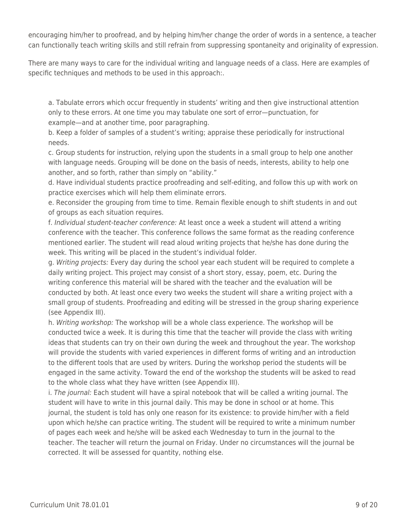encouraging him/her to proofread, and by helping him/her change the order of words in a sentence, a teacher can functionally teach writing skills and still refrain from suppressing spontaneity and originality of expression.

There are many ways to care for the individual writing and language needs of a class. Here are examples of specific techniques and methods to be used in this approach:.

a. Tabulate errors which occur frequently in students' writing and then give instructional attention only to these errors. At one time you may tabulate one sort of error—punctuation, for example—and at another time, poor paragraphing.

b. Keep a folder of samples of a student's writing; appraise these periodically for instructional needs.

c. Group students for instruction, relying upon the students in a small group to help one another with language needs. Grouping will be done on the basis of needs, interests, ability to help one another, and so forth, rather than simply on "ability."

d. Have individual students practice proofreading and self-editing, and follow this up with work on practice exercises which will help them eliminate errors.

e. Reconsider the grouping from time to time. Remain flexible enough to shift students in and out of groups as each situation requires.

f. Individual student-teacher conference: At least once a week a student will attend a writing conference with the teacher. This conference follows the same format as the reading conference mentioned earlier. The student will read aloud writing projects that he/she has done during the week. This writing will be placed in the student's individual folder.

g. Writing projects: Every day during the school year each student will be required to complete a daily writing project. This project may consist of a short story, essay, poem, etc. During the writing conference this material will be shared with the teacher and the evaluation will be conducted by both. At least once every two weeks the student will share a writing project with a small group of students. Proofreading and editing will be stressed in the group sharing experience (see Appendix III).

h. Writing workshop: The workshop will be a whole class experience. The workshop will be conducted twice a week. It is during this time that the teacher will provide the class with writing ideas that students can try on their own during the week and throughout the year. The workshop will provide the students with varied experiences in different forms of writing and an introduction to the different tools that are used by writers. During the workshop period the students will be engaged in the same activity. Toward the end of the workshop the students will be asked to read to the whole class what they have written (see Appendix III).

i. The journal: Each student will have a spiral notebook that will be called a writing journal. The student will have to write in this journal daily. This may be done in school or at home. This journal, the student is told has only one reason for its existence: to provide him/her with a field upon which he/she can practice writing. The student will be required to write a minimum number of pages each week and he/she will be asked each Wednesday to turn in the journal to the teacher. The teacher will return the journal on Friday. Under no circumstances will the journal be corrected. It will be assessed for quantity, nothing else.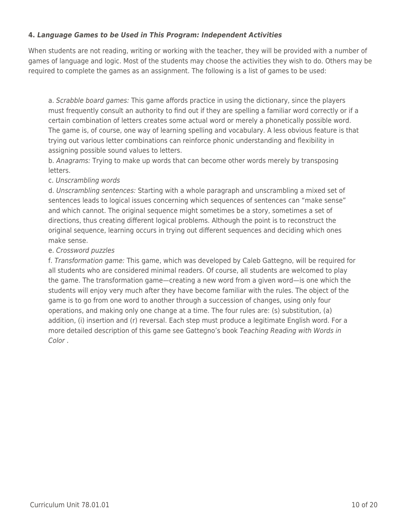### **4.** *Language Games to be Used in This Program: Independent Activities*

When students are not reading, writing or working with the teacher, they will be provided with a number of games of language and logic. Most of the students may choose the activities they wish to do. Others may be required to complete the games as an assignment. The following is a list of games to be used:

a. Scrabble board games: This game affords practice in using the dictionary, since the players must frequently consult an authority to find out if they are spelling a familiar word correctly or if a certain combination of letters creates some actual word or merely a phonetically possible word. The game is, of course, one way of learning spelling and vocabulary. A less obvious feature is that trying out various letter combinations can reinforce phonic understanding and flexibility in assigning possible sound values to letters.

b. Anagrams: Trying to make up words that can become other words merely by transposing letters.

### c. Unscrambling words

d. Unscrambling sentences: Starting with a whole paragraph and unscrambling a mixed set of sentences leads to logical issues concerning which sequences of sentences can "make sense" and which cannot. The original sequence might sometimes be a story, sometimes a set of directions, thus creating different logical problems. Although the point is to reconstruct the original sequence, learning occurs in trying out different sequences and deciding which ones make sense.

### e. Crossword puzzles

f. Transformation game: This game, which was developed by Caleb Gattegno, will be required for all students who are considered minimal readers. Of course, all students are welcomed to play the game. The transformation game—creating a new word from a given word—is one which the students will enjoy very much after they have become familiar with the rules. The object of the game is to go from one word to another through a succession of changes, using only four operations, and making only one change at a time. The four rules are: (s) substitution, (a) addition, (i) insertion and (r) reversal. Each step must produce a legitimate English word. For a more detailed description of this game see Gattegno's book Teaching Reading with Words in Color .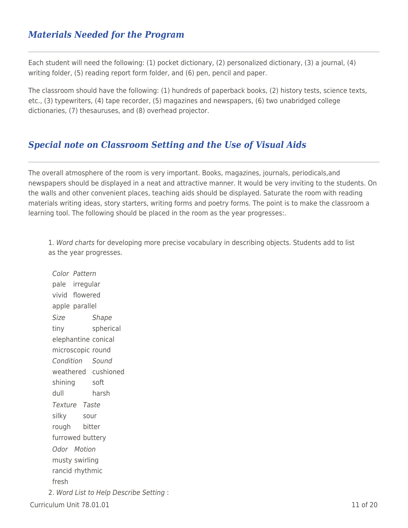### *Materials Needed for the Program*

Each student will need the following: (1) pocket dictionary, (2) personalized dictionary, (3) a journal, (4) writing folder, (5) reading report form folder, and (6) pen, pencil and paper.

The classroom should have the following: (1) hundreds of paperback books, (2) history tests, science texts, etc., (3) typewriters, (4) tape recorder, (5) magazines and newspapers, (6) two unabridged college dictionaries, (7) thesauruses, and (8) overhead projector.

### *Special note on Classroom Setting and the Use of Visual Aids*

The overall atmosphere of the room is very important. Books, magazines, journals, periodicals,and newspapers should be displayed in a neat and attractive manner. It would be very inviting to the students. On the walls and other convenient places, teaching aids should be displayed. Saturate the room with reading materials writing ideas, story starters, writing forms and poetry forms. The point is to make the classroom a learning tool. The following should be placed in the room as the year progresses:.

1. Word charts for developing more precise vocabulary in describing objects. Students add to list as the year progresses.

 $C$ urriculum Unit  $78.01.01$  11 of 20 Color Pattern pale irregular vivid flowered apple parallel Size Shape tiny spherical elephantine conical microscopic round Condition Sound weathered cushioned shining soft dull harsh Texture Taste silky sour rough bitter furrowed buttery Odor Motion musty swirling rancid rhythmic fresh 2. Word List to Help Describe Setting :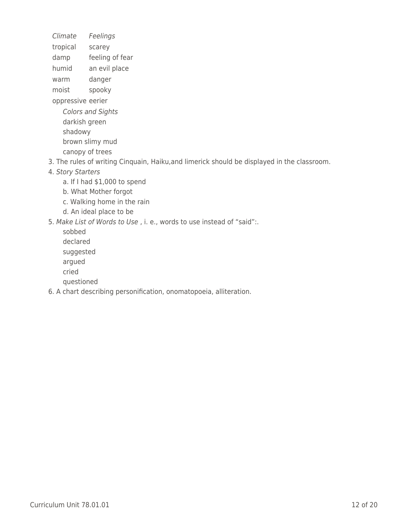Climate Feelings

tropical scarey

damp feeling of fear

humid an evil place

warm danger

moist spooky

oppressive eerier

Colors and Sights darkish green shadowy brown slimy mud canopy of trees

3. The rules of writing Cinquain, Haiku,and limerick should be displayed in the classroom.

- 4. Story Starters
	- a. If I had \$1,000 to spend
	- b. What Mother forgot
	- \_\_\_\_ c. Walking home in the rain
	- d. An ideal place to be

5. Make List of Words to Use , i. e., words to use instead of "said":.

\_\_\_\_ sobbed

declared

suggested

argued

\_\_\_\_ cried

questioned

6. A chart describing personification, onomatopoeia, alliteration.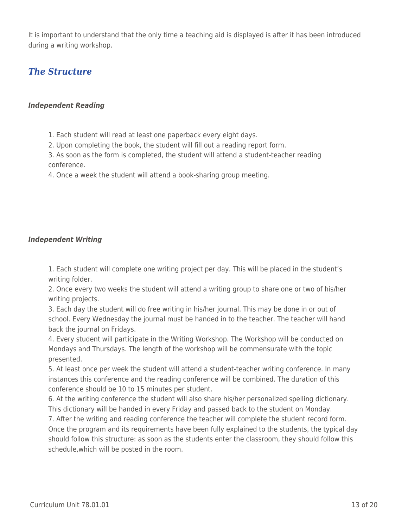It is important to understand that the only time a teaching aid is displayed is after it has been introduced during a writing workshop.

## *The Structure*

### *Independent Reading*

- 1. Each student will read at least one paperback every eight days.
- 2. Upon completing the book, the student will fill out a reading report form.

3. As soon as the form is completed, the student will attend a student-teacher reading conference.

4. Once a week the student will attend a book-sharing group meeting.

### *Independent Writing*

1. Each student will complete one writing project per day. This will be placed in the student's writing folder.

2. Once every two weeks the student will attend a writing group to share one or two of his/her writing projects.

3. Each day the student will do free writing in his/her journal. This may be done in or out of school. Every Wednesday the journal must be handed in to the teacher. The teacher will hand back the journal on Fridays.

4. Every student will participate in the Writing Workshop. The Workshop will be conducted on Mondays and Thursdays. The length of the workshop will be commensurate with the topic presented.

5. At least once per week the student will attend a student-teacher writing conference. In many instances this conference and the reading conference will be combined. The duration of this conference should be 10 to 15 minutes per student.

6. At the writing conference the student will also share his/her personalized spelling dictionary. This dictionary will be handed in every Friday and passed back to the student on Monday.

7. After the writing and reading conference the teacher will complete the student record form. Once the program and its requirements have been fully explained to the students, the typical day should follow this structure: as soon as the students enter the classroom, they should follow this schedule,which will be posted in the room.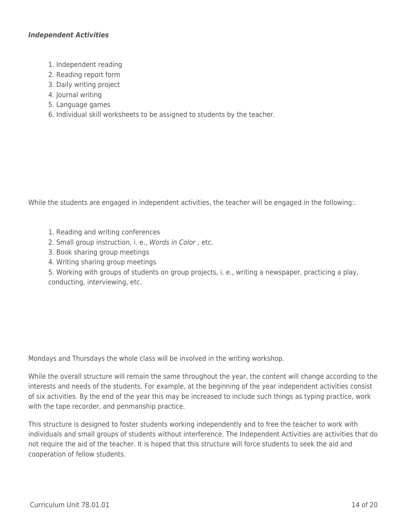### *Independent Activities*

- 1. Independent reading
- 2. Reading report form
- 3. Daily writing project
- 4. Journal writing
- 5. Language games
- 6. Individual skill worksheets to be assigned to students by the teacher.

While the students are engaged in independent activities, the teacher will be engaged in the following:.

- 1. Reading and writing conferences
- 2. Small group instruction, i. e., Words in Color , etc.
- 3. Book sharing group meetings
- 4. Writing sharing group meetings

5. Working with groups of students on group projects, i. e., writing a newspaper, practicing a play, conducting, interviewing, etc.

Mondays and Thursdays the whole class will be involved in the writing workshop.

While the overall structure will remain the same throughout the year, the content will change according to the interests and needs of the students. For example, at the beginning of the year independent activities consist of six activities. By the end of the year this may be increased to include such things as typing practice, work with the tape recorder, and penmanship practice.

This structure is designed to foster students working independently and to free the teacher to work with individuals and small groups of students without interference. The Independent Activities are activities that do not require the aid of the teacher. It is hoped that this structure will force students to seek the aid and cooperation of fellow students.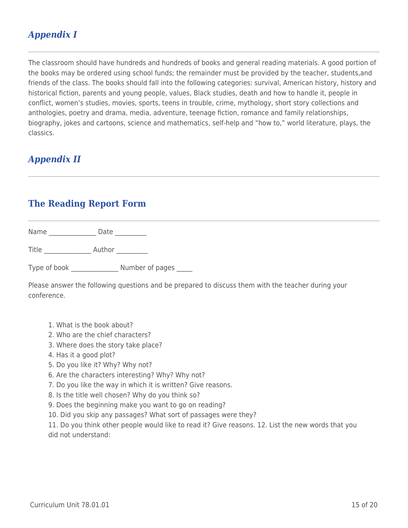## *Appendix I*

The classroom should have hundreds and hundreds of books and general reading materials. A good portion of the books may be ordered using school funds; the remainder must be provided by the teacher, students,and friends of the class. The books should fall into the following categories: survival, American history, history and historical fiction, parents and young people, values, Black studies, death and how to handle it, people in conflict, women's studies, movies, sports, teens in trouble, crime, mythology, short story collections and anthologies, poetry and drama, media, adventure, teenage fiction, romance and family relationships, biography, jokes and cartoons, science and mathematics, self-help and "how to," world literature, plays, the classics.

## *Appendix II*

### **The Reading Report Form**

Name \_\_\_\_\_\_\_\_\_\_\_\_\_\_\_\_\_\_\_\_ Date \_\_\_\_\_\_\_\_\_\_\_

Title Author Author

Type of book \_\_\_\_\_\_\_\_\_\_\_\_\_\_\_\_\_ Number of pages \_\_\_\_\_

Please answer the following questions and be prepared to discuss them with the teacher during your conference.

- 1. What is the book about?
- 2. Who are the chief characters?
- 3. Where does the story take place?
- 4. Has it a good plot?
- 5. Do you like it? Why? Why not?
- 6. Are the characters interesting? Why? Why not?
- 7. Do you like the way in which it is written? Give reasons.
- 8. Is the title well chosen? Why do you think so?
- 9. Does the beginning make you want to go on reading?
- 10. Did you skip any passages? What sort of passages were they?

11. Do you think other people would like to read it? Give reasons. 12. List the new words that you did not understand: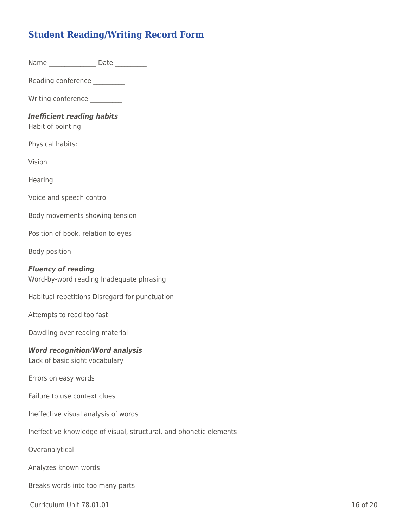## **Student Reading/Writing Record Form**

Name \_\_\_\_\_\_\_\_\_\_\_\_\_\_\_\_\_\_ Date \_\_\_\_\_\_\_\_\_\_

Reading conference

Writing conference \_\_\_\_\_\_\_\_\_

### *Inefficient reading habits*

Habit of pointing

Physical habits:

Vision

**Hearing** 

Voice and speech control

Body movements showing tension

Position of book, relation to eyes

Body position

#### *Fluency of reading*

Word-by-word reading Inadequate phrasing

Habitual repetitions Disregard for punctuation

Attempts to read too fast

Dawdling over reading material

### *Word recognition/Word analysis*

Lack of basic sight vocabulary

Errors on easy words

Failure to use context clues

Ineffective visual analysis of words

Ineffective knowledge of visual, structural, and phonetic elements

Overanalytical:

Analyzes known words

Breaks words into too many parts

Curriculum Unit 78.01.01 16 of 20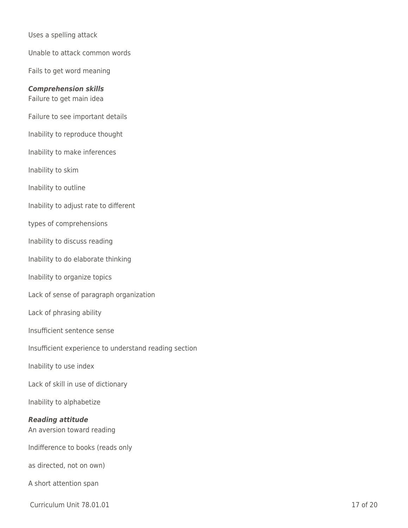Uses a spelling attack Unable to attack common words Fails to get word meaning *Comprehension skills* Failure to get main idea Failure to see important details Inability to reproduce thought Inability to make inferences Inability to skim Inability to outline Inability to adjust rate to different types of comprehensions Inability to discuss reading Inability to do elaborate thinking Inability to organize topics Lack of sense of paragraph organization Lack of phrasing ability Insufficient sentence sense Insufficient experience to understand reading section Inability to use index Lack of skill in use of dictionary Inability to alphabetize *Reading attitude* An aversion toward reading Indifference to books (reads only as directed, not on own) A short attention span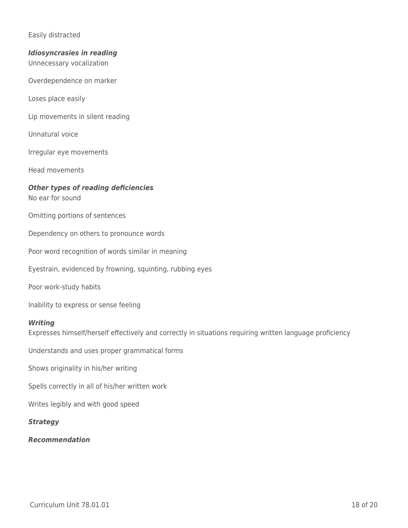### Easily distracted

### *Idiosyncrasies in reading*

Unnecessary vocalization

Overdependence on marker

Loses place easily

Lip movements in silent reading

Unnatural voice

Irregular eye movements

Head movements

#### *Other types of reading deficiencies* No ear for sound

Omitting portions of sentences

Dependency on others to pronounce words

Poor word recognition of words similar in meaning

Eyestrain, evidenced by frowning, squinting, rubbing eyes

Poor work-study habits

Inability to express or sense feeling

### *Writing*

Expresses himself/herself effectively and correctly in situations requiring written language proficiency

Understands and uses proper grammatical forms

Shows originality in his/her writing

Spells correctly in all of his/her written work

Writes legibly and with good speed

### *Strategy*

#### *Recommendation*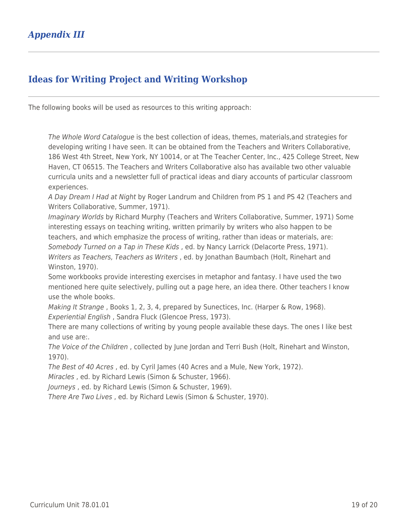# **Ideas for Writing Project and Writing Workshop**

The following books will be used as resources to this writing approach:

The Whole Word Catalogue is the best collection of ideas, themes, materials,and strategies for developing writing I have seen. It can be obtained from the Teachers and Writers Collaborative, 186 West 4th Street, New York, NY 10014, or at The Teacher Center, Inc., 425 College Street, New Haven, CT 06515. The Teachers and Writers Collaborative also has available two other valuable curricula units and a newsletter full of practical ideas and diary accounts of particular classroom experiences.

A Day Dream I Had at Night by Roger Landrum and Children from PS 1 and PS 42 (Teachers and Writers Collaborative, Summer, 1971).

Imaginary Worlds by Richard Murphy (Teachers and Writers Collaborative, Summer, 1971) Some interesting essays on teaching writing, written primarily by writers who also happen to be teachers, and which emphasize the process of writing, rather than ideas or materials, are: Somebody Turned on a Tap in These Kids , ed. by Nancy Larrick (Delacorte Press, 1971). Writers as Teachers, Teachers as Writers , ed. by Jonathan Baumbach (Holt, Rinehart and Winston, 1970).

Some workbooks provide interesting exercises in metaphor and fantasy. I have used the two mentioned here quite selectively, pulling out a page here, an idea there. Other teachers I know use the whole books.

Making It Strange, Books 1, 2, 3, 4, prepared by Sunectices, Inc. (Harper & Row, 1968). Experiential English , Sandra Fluck (Glencoe Press, 1973).

There are many collections of writing by young people available these days. The ones I like best and use are:.

The Voice of the Children , collected by June Jordan and Terri Bush (Holt, Rinehart and Winston, 1970).

The Best of 40 Acres , ed. by Cyril James (40 Acres and a Mule, New York, 1972).

Miracles , ed. by Richard Lewis (Simon & Schuster, 1966).

Journeys , ed. by Richard Lewis (Simon & Schuster, 1969).

There Are Two Lives , ed. by Richard Lewis (Simon & Schuster, 1970).